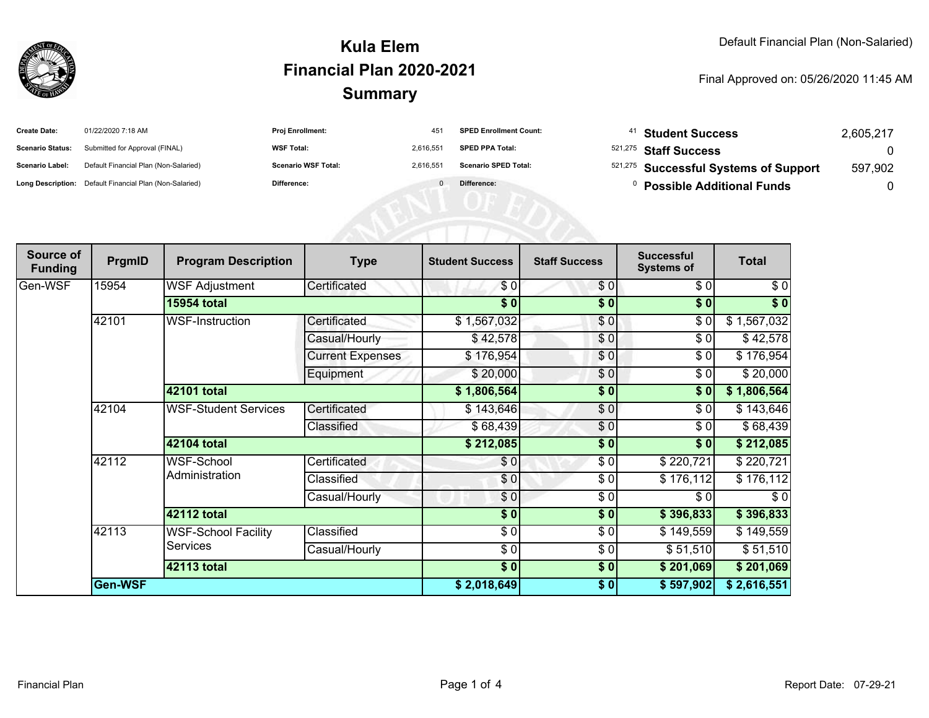

## **SummaryKula ElemFinancial Plan 2020-2021**

#### Final Approved on: 05/26/2020 11:45 AM

| <b>Create Date:</b>     | 01/22/2020 7:18 AM                                      | <b>Proj Enrollment:</b>    | 45        | <b>SPED Enrollment Count:</b> | <b>Student Success</b>                | 2,605,217 |
|-------------------------|---------------------------------------------------------|----------------------------|-----------|-------------------------------|---------------------------------------|-----------|
| <b>Scenario Status:</b> | Submitted for Approval (FINAL)                          | <b>WSF Total:</b>          | 2.616.55' | <b>SPED PPA Total:</b>        | <sup>521,275</sup> Staff Success      |           |
| <b>Scenario Label:</b>  | Default Financial Plan (Non-Salaried)                   | <b>Scenario WSF Total:</b> | 2,616,55  | <b>Scenario SPED Total:</b>   | 521,275 Successful Systems of Support | 597,902   |
|                         | Long Description: Default Financial Plan (Non-Salaried) | <b>Difference:</b>         |           | Difference:                   | <b>Possible Additional Funds</b>      |           |

AENI OF EQ

| Source of<br><b>Funding</b> | PrgmID  | <b>Program Description</b>                    | <b>Type</b>             | <b>Student Success</b>   | <b>Staff Success</b> | <b>Successful</b><br><b>Systems of</b> | <b>Total</b>      |
|-----------------------------|---------|-----------------------------------------------|-------------------------|--------------------------|----------------------|----------------------------------------|-------------------|
| Gen-WSF                     | 15954   | <b>WSF Adjustment</b>                         | Certificated            | \$0                      | \$0                  | \$0                                    | \$0               |
|                             |         | <b>15954 total</b>                            |                         | $\overline{\$0}$         | $\frac{1}{2}$        | $\sqrt{5}$                             | $\overline{\$}$ 0 |
|                             | 42101   | WSF-Instruction                               | Certificated            | \$1,567,032              | \$0                  | \$0                                    | \$1,567,032       |
|                             |         |                                               | Casual/Hourly           | \$42,578                 | \$0                  | \$0                                    | \$42,578          |
|                             |         |                                               | <b>Current Expenses</b> | \$176,954                | \$0                  | \$0                                    | \$176,954         |
|                             |         |                                               | Equipment               | \$20,000                 | \$0                  | \$0                                    | \$20,000          |
|                             |         | 42101 total                                   |                         | \$1,806,564              | \$0                  | \$0                                    | \$1,806,564       |
|                             | 42104   | <b>WSF-Student Services</b>                   | Certificated            | \$143,646                | $\sqrt{6}$           | \$0                                    | \$143,646         |
|                             |         |                                               | Classified              | \$68,439                 | \$0                  | \$0                                    | \$68,439          |
|                             |         | 42104 total                                   |                         | \$212,085                | \$0                  | \$0                                    | \$212,085         |
|                             | 42112   | WSF-School<br>Administration                  | Certificated            | \$0                      | \$0                  | \$220,721                              | \$220,721         |
|                             |         |                                               | Classified              | \$0                      | \$0                  | \$176,112                              | \$176,112         |
|                             |         |                                               | Casual/Hourly           | \$0                      | \$0                  | \$0                                    | $\sqrt{6}$        |
|                             |         | 42112 total                                   |                         | \$0                      | \$0                  | \$396,833                              | \$396,833         |
|                             | 42113   | <b>WSF-School Facility</b><br><b>Services</b> | Classified              | \$0                      | \$0                  | \$149,559                              | \$149,559         |
|                             |         |                                               | Casual/Hourly           | $\overline{\frac{3}{2}}$ | \$0                  | \$51,510                               | \$51,510          |
|                             |         | <b>42113 total</b>                            |                         | $\overline{\$0}$         | \$0                  | \$201,069                              | \$201,069         |
|                             | Gen-WSF |                                               |                         | \$2,018,649              | \$0                  | \$597,902                              | \$2,616,551       |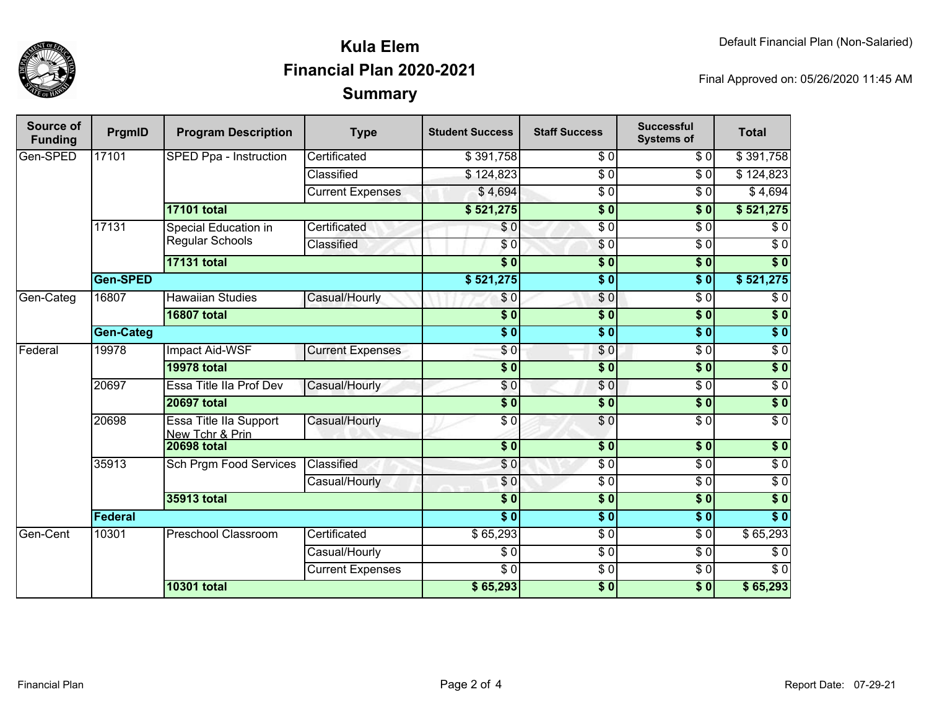

# **SummaryKula ElemFinancial Plan 2020-2021**

Final Approved on: 05/26/2020 11:45 AM

| Source of<br><b>Funding</b> | PrgmID           | <b>Program Description</b>                | <b>Type</b>                   | <b>Student Success</b> | <b>Staff Success</b> | <b>Successful</b><br><b>Systems of</b> | <b>Total</b>     |                  |
|-----------------------------|------------------|-------------------------------------------|-------------------------------|------------------------|----------------------|----------------------------------------|------------------|------------------|
| Gen-SPED                    | 17101            | SPED Ppa - Instruction                    | Certificated                  | \$391,758              | $\overline{\$0}$     | $\overline{\$0}$                       | \$391,758        |                  |
|                             |                  |                                           | Classified                    | \$124,823              | $\overline{S}0$      | $\overline{\$0}$                       | \$124,823        |                  |
|                             |                  |                                           | <b>Current Expenses</b>       | \$4,694                | \$0                  | \$0                                    | \$4,694          |                  |
|                             |                  | <b>17101 total</b>                        |                               | \$521,275              | $\overline{\$0}$     | \$0                                    | \$521,275        |                  |
|                             | 17131            | Special Education in                      | Certificated                  | \$0                    | $\overline{60}$      | $\overline{\$0}$                       | \$0              |                  |
|                             |                  | Regular Schools                           | Classified                    | \$0                    | $\sqrt{6}$           | $\overline{\$0}$                       | $\overline{\$0}$ |                  |
|                             |                  | <b>17131 total</b>                        |                               | $\overline{\$0}$       | $\overline{\$0}$     | $\overline{\$0}$                       | $\overline{\$0}$ |                  |
|                             | <b>Gen-SPED</b>  |                                           |                               | \$521,275              | $\overline{\$0}$     | $\overline{\$0}$                       | \$521,275        |                  |
| Gen-Categ                   | 16807            | <b>Hawaiian Studies</b>                   | Casual/Hourly                 | \$0                    | \$0                  | $\overline{\$0}$                       | \$0              |                  |
|                             |                  | <b>16807 total</b>                        |                               | $\overline{\$0}$       | $\overline{\$0}$     | $\overline{\$0}$                       | $\overline{\$0}$ |                  |
|                             | <b>Gen-Categ</b> |                                           |                               | $\overline{\$0}$       | $\overline{\$0}$     | $\overline{\$0}$                       | $\sqrt{6}$       |                  |
| Federal                     | 19978            | <b>Impact Aid-WSF</b>                     | <b>Current Expenses</b>       | $\overline{\$0}$       | \$0                  | $\overline{\$0}$                       | $\overline{S}0$  |                  |
|                             |                  | <b>19978 total</b>                        |                               | $\overline{\$0}$       | $\overline{\$0}$     | $\overline{\$0}$                       | $\overline{\$0}$ |                  |
|                             | 20697            | Essa Title IIa Prof Dev                   | Casual/Hourly                 | \$0                    | $\overline{S}0$      | $\overline{\$0}$                       | $\overline{50}$  |                  |
|                             |                  | <b>20697 total</b>                        |                               | $\overline{\$0}$       | $\overline{\$0}$     | $\overline{\$0}$                       | $\sqrt{6}$       |                  |
|                             | 20698            | Essa Title IIa Support<br>New Tchr & Prin | Casual/Hourly                 | $\sqrt{6}$             | $\overline{\$0}$     | $\overline{\$0}$                       | $\overline{50}$  |                  |
|                             |                  | <b>20698 total</b>                        |                               | $\overline{\$0}$       | $\frac{1}{2}$        | $\overline{\$0}$                       | $\sqrt{6}$       |                  |
|                             |                  | 35913                                     | <b>Sch Prgm Food Services</b> | Classified             | $\overline{\$0}$     | $\overline{\$0}$                       | $\overline{\$0}$ | $\overline{\$0}$ |
|                             |                  |                                           | Casual/Hourly                 | \$0                    | $\overline{\$0}$     | $\overline{\$0}$                       | $\overline{\$0}$ |                  |
|                             |                  | 35913 total                               |                               | $\overline{\$}0$       | $\overline{\$}0$     | $\overline{\$0}$                       | \$0              |                  |
|                             | Federal          |                                           |                               | $\overline{\bullet}$   | $\overline{\$0}$     | $\overline{\$0}$                       | $\overline{\$0}$ |                  |
| Gen-Cent                    | 10301            | <b>Preschool Classroom</b>                | Certificated                  | \$65,293               | $\overline{\$0}$     | $\overline{\$0}$                       | \$65,293         |                  |
|                             |                  |                                           | Casual/Hourly                 | $\overline{\$0}$       | $\overline{\$0}$     | $\overline{\$0}$                       | $\overline{\$0}$ |                  |
|                             |                  |                                           | <b>Current Expenses</b>       | $\overline{\$0}$       | $\overline{\$0}$     | $\overline{\$0}$                       | $\overline{\$0}$ |                  |
|                             |                  | <b>10301 total</b>                        |                               | \$65,293               | $\overline{\$0}$     | $\overline{\$0}$                       | \$65,293         |                  |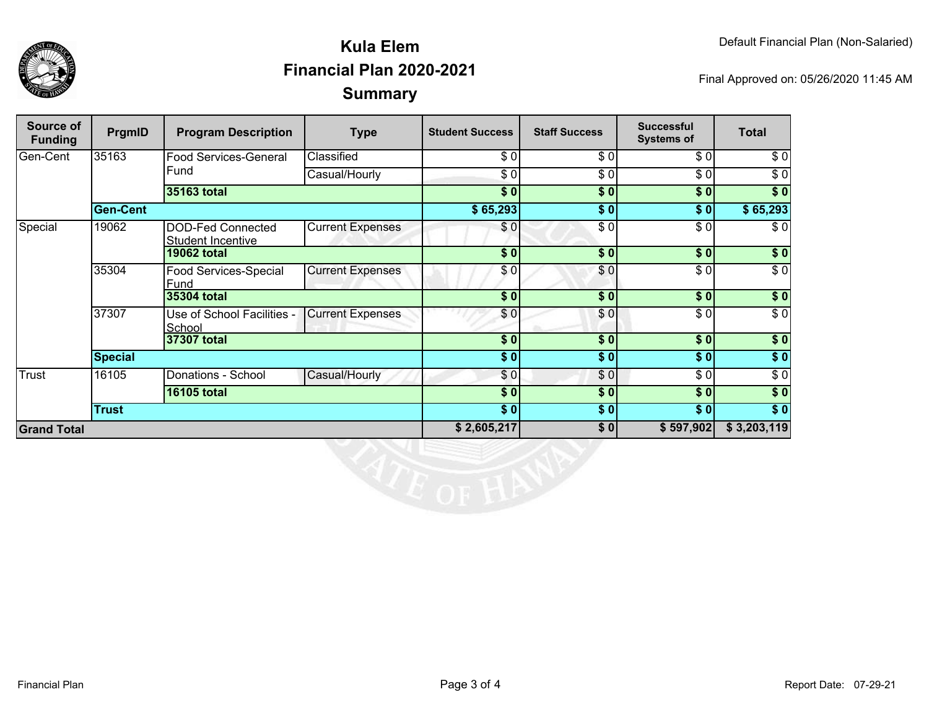

## **SummaryKula ElemFinancial Plan 2020-2021**

Final Approved on: 05/26/2020 11:45 AM

| Source of<br><b>Funding</b> | PrgmID             | <b>Program Description</b>                           | <b>Type</b>             | <b>Student Success</b> | <b>Staff Success</b> | <b>Successful</b><br><b>Systems of</b> | <b>Total</b>     |
|-----------------------------|--------------------|------------------------------------------------------|-------------------------|------------------------|----------------------|----------------------------------------|------------------|
| Gen-Cent                    | 35163              | Food Services-General<br>Fund                        | Classified              | \$0                    | $\overline{\$0}$     | $\overline{\$0}$                       | \$0              |
|                             |                    |                                                      | Casual/Hourly           | \$0                    | \$0                  | \$0                                    | \$0              |
|                             |                    | 35163 total                                          |                         | \$0                    | $\overline{\$0}$     | $\sqrt{50}$                            | $\overline{\$}0$ |
|                             | <b>Gen-Cent</b>    |                                                      |                         | \$65,293               | \$0                  | \$0                                    | \$65,293         |
| Special                     | 19062              | <b>DOD-Fed Connected</b><br><b>Student Incentive</b> | <b>Current Expenses</b> | \$0                    | \$0                  | \$0                                    | \$0              |
|                             |                    | <b>19062 total</b>                                   |                         | \$0                    | \$0                  | \$0                                    | \$0              |
|                             | 35304              | Food Services-Special<br>Fund                        | <b>Current Expenses</b> | \$0                    | \$0                  | \$0                                    | $\overline{\$0}$ |
|                             |                    | 35304 total                                          |                         | $\overline{\$0}$       | $\overline{\$0}$     | $\frac{1}{2}$                          | $\sqrt{6}$       |
|                             | 37307              | Use of School Facilities -<br>School                 | <b>Current Expenses</b> | \$0                    | \$0                  | \$0                                    | $\sqrt{6}$       |
|                             |                    | 37307 total                                          |                         | \$0                    | \$0                  | \$0                                    | $\sqrt{ }$       |
|                             | <b>Special</b>     |                                                      |                         | \$0                    | \$0                  | \$0                                    | $\sqrt{ }$       |
| <b>Trust</b>                | 16105              | Donations - School                                   | Casual/Hourly           | \$0]                   | \$0                  | \$0                                    | \$0              |
|                             | <b>16105 total</b> |                                                      |                         | \$0                    | \$0                  | \$0                                    | $\overline{\$}0$ |
|                             | <b>Trust</b>       |                                                      |                         | \$0                    | \$0                  | \$0]                                   | $\sqrt{50}$      |
| <b>Grand Total</b>          |                    |                                                      | \$2,605,217             | \$0                    | \$597,902            | \$3,203,119                            |                  |